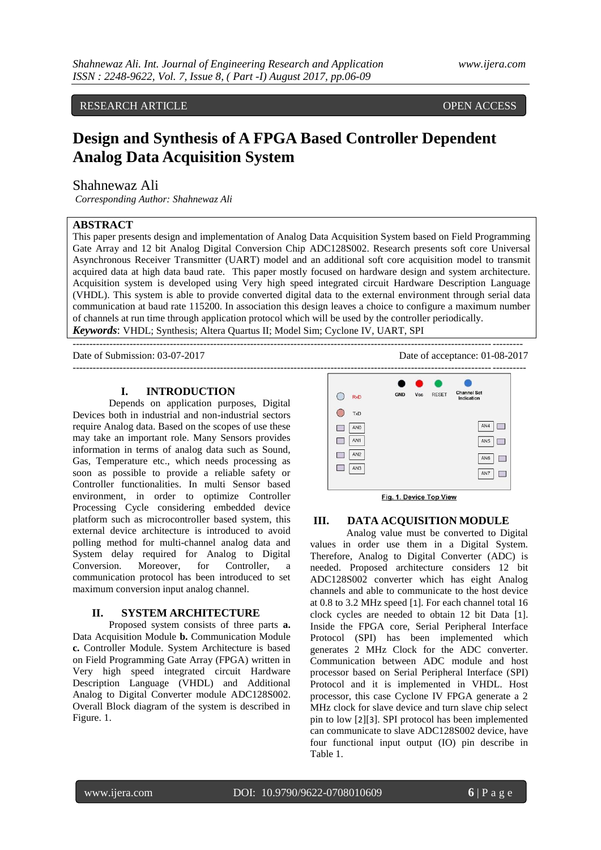RESEARCH ARTICLE **CONSERVERS** OPEN ACCESS

# **Design and Synthesis of A FPGA Based Controller Dependent Analog Data Acquisition System**

## Shahnewaz Ali

*Corresponding Author: Shahnewaz Ali* 

## **ABSTRACT**

This paper presents design and implementation of Analog Data Acquisition System based on Field Programming Gate Array and 12 bit Analog Digital Conversion Chip ADC128S002. Research presents soft core Universal Asynchronous Receiver Transmitter (UART) model and an additional soft core acquisition model to transmit acquired data at high data baud rate. This paper mostly focused on hardware design and system architecture. Acquisition system is developed using Very high speed integrated circuit Hardware Description Language (VHDL). This system is able to provide converted digital data to the external environment through serial data communication at baud rate 115200. In association this design leaves a choice to configure a maximum number of channels at run time through application protocol which will be used by the controller periodically. *Keywords*: VHDL; Synthesis; Altera Quartus II; Model Sim; Cyclone IV, UART, SPI

--------------------------------------------------------------------------------------------------------------------------------------

Date of Submission: 03-07-2017 Date of acceptance: 01-08-2017 ---------------------------------------------------------------------------------------------------------------------------------------

## **I. INTRODUCTION**

Depends on application purposes, Digital Devices both in industrial and non-industrial sectors require Analog data. Based on the scopes of use these may take an important role. Many Sensors provides information in terms of analog data such as Sound, Gas, Temperature etc., which needs processing as soon as possible to provide a reliable safety or Controller functionalities. In multi Sensor based environment, in order to optimize Controller Processing Cycle considering embedded device platform such as microcontroller based system, this external device architecture is introduced to avoid polling method for multi-channel analog data and System delay required for Analog to Digital Conversion. Moreover, for Controller, a communication protocol has been introduced to set maximum conversion input analog channel.

## **II. SYSTEM ARCHITECTURE**

Proposed system consists of three parts **a.** Data Acquisition Module **b.** Communication Module **c.** Controller Module. System Architecture is based on Field Programming Gate Array (FPGA) written in Very high speed integrated circuit Hardware Description Language (VHDL) and Additional Analog to Digital Converter module ADC128S002. Overall Block diagram of the system is described in Figure. 1.



#### **III. DATA ACQUISITION MODULE**

Analog value must be converted to Digital values in order use them in a Digital System. Therefore, Analog to Digital Converter (ADC) is needed. Proposed architecture considers 12 bit ADC128S002 converter which has eight Analog channels and able to communicate to the host device at 0.8 to 3.2 MHz speed [1]. For each channel total 16 clock cycles are needed to obtain 12 bit Data [1]. Inside the FPGA core, Serial Peripheral Interface Protocol (SPI) has been implemented which generates 2 MHz Clock for the ADC converter. Communication between ADC module and host processor based on Serial Peripheral Interface (SPI) Protocol and it is implemented in VHDL. Host processor, this case Cyclone IV FPGA generate a 2 MHz clock for slave device and turn slave chip select pin to low [2][3]. SPI protocol has been implemented can communicate to slave ADC128S002 device, have four functional input output (IO) pin describe in Table 1.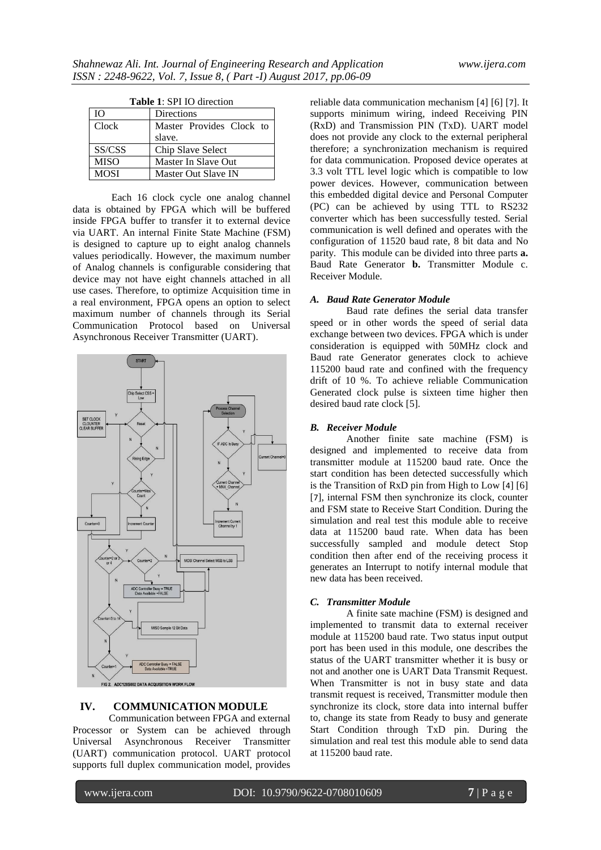| <b>Table 1: SPI IO direction</b> |                          |  |  |
|----------------------------------|--------------------------|--|--|
| <b>IO</b>                        | Directions               |  |  |
| Clock                            | Master Provides Clock to |  |  |
|                                  | slave.                   |  |  |
| SS/CSS                           | Chip Slave Select        |  |  |
| <b>MISO</b>                      | Master In Slave Out      |  |  |
| MOSI                             | Master Out Slave IN      |  |  |

Each 16 clock cycle one analog channel data is obtained by FPGA which will be buffered inside FPGA buffer to transfer it to external device via UART. An internal Finite State Machine (FSM) is designed to capture up to eight analog channels values periodically. However, the maximum number of Analog channels is configurable considering that device may not have eight channels attached in all use cases. Therefore, to optimize Acquisition time in a real environment, FPGA opens an option to select maximum number of channels through its Serial Communication Protocol based on Universal Asynchronous Receiver Transmitter (UART).



## **IV. COMMUNICATION MODULE**

Communication between FPGA and external Processor or System can be achieved through Universal Asynchronous Receiver Transmitter (UART) communication protocol. UART protocol supports full duplex communication model, provides

reliable data communication mechanism [4] [6] [7]. It supports minimum wiring, indeed Receiving PIN (RxD) and Transmission PIN (TxD). UART model does not provide any clock to the external peripheral therefore; a synchronization mechanism is required for data communication. Proposed device operates at 3.3 volt TTL level logic which is compatible to low power devices. However, communication between this embedded digital device and Personal Computer (PC) can be achieved by using TTL to RS232 converter which has been successfully tested. Serial communication is well defined and operates with the configuration of 11520 baud rate, 8 bit data and No parity. This module can be divided into three parts **a.** Baud Rate Generator **b.** Transmitter Module c. Receiver Module.

## *A. Baud Rate Generator Module*

Baud rate defines the serial data transfer speed or in other words the speed of serial data exchange between two devices. FPGA which is under consideration is equipped with 50MHz clock and Baud rate Generator generates clock to achieve 115200 baud rate and confined with the frequency drift of 10 %. To achieve reliable Communication Generated clock pulse is sixteen time higher then desired baud rate clock [5].

## *B. Receiver Module*

Another finite sate machine (FSM) is designed and implemented to receive data from transmitter module at 115200 baud rate. Once the start condition has been detected successfully which is the Transition of RxD pin from High to Low [4] [6] [7], internal FSM then synchronize its clock, counter and FSM state to Receive Start Condition. During the simulation and real test this module able to receive data at 115200 baud rate. When data has been successfully sampled and module detect Stop condition then after end of the receiving process it generates an Interrupt to notify internal module that new data has been received.

## *C. Transmitter Module*

A finite sate machine (FSM) is designed and implemented to transmit data to external receiver module at 115200 baud rate. Two status input output port has been used in this module, one describes the status of the UART transmitter whether it is busy or not and another one is UART Data Transmit Request. When Transmitter is not in busy state and data transmit request is received, Transmitter module then synchronize its clock, store data into internal buffer to, change its state from Ready to busy and generate Start Condition through TxD pin. During the simulation and real test this module able to send data at 115200 baud rate.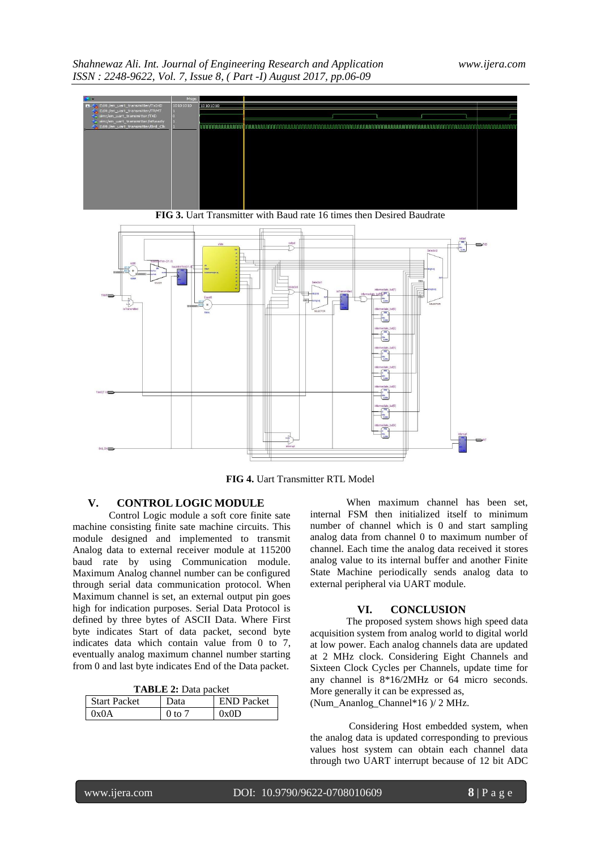*Shahnewaz Ali. Int. Journal of Engineering Research and Application www.ijera.com ISSN : 2248-9622, Vol. 7, Issue 8, ( Part -I) August 2017, pp.06-09*





**FIG 3.** Uart Transmitter with Baud rate 16 times then Desired Baudrate

**FIG 4.** Uart Transmitter RTL Model

## **V. CONTROL LOGIC MODULE**

Control Logic module a soft core finite sate machine consisting finite sate machine circuits. This module designed and implemented to transmit Analog data to external receiver module at 115200 baud rate by using Communication module. Maximum Analog channel number can be configured through serial data communication protocol. When Maximum channel is set, an external output pin goes high for indication purposes. Serial Data Protocol is defined by three bytes of ASCII Data. Where First byte indicates Start of data packet, second byte indicates data which contain value from 0 to 7, eventually analog maximum channel number starting from 0 and last byte indicates End of the Data packet.

**TABLE 2:** Data packet

| <b>Start Packet</b>       | Data                            | <b>END</b> Packet |
|---------------------------|---------------------------------|-------------------|
| $\gamma_{\rm v}$ $\Delta$ | $0$ to $\overline{\phantom{a}}$ | $0 \times 0$      |

When maximum channel has been set, internal FSM then initialized itself to minimum number of channel which is 0 and start sampling analog data from channel 0 to maximum number of channel. Each time the analog data received it stores analog value to its internal buffer and another Finite State Machine periodically sends analog data to external peripheral via UART module.

## **VI. CONCLUSION**

The proposed system shows high speed data acquisition system from analog world to digital world at low power. Each analog channels data are updated at 2 MHz clock. Considering Eight Channels and Sixteen Clock Cycles per Channels, update time for any channel is 8\*16/2MHz or 64 micro seconds. More generally it can be expressed as, (Num\_Ananlog\_Channel\*16 )/ 2 MHz.

Considering Host embedded system, when the analog data is updated corresponding to previous values host system can obtain each channel data through two UART interrupt because of 12 bit ADC